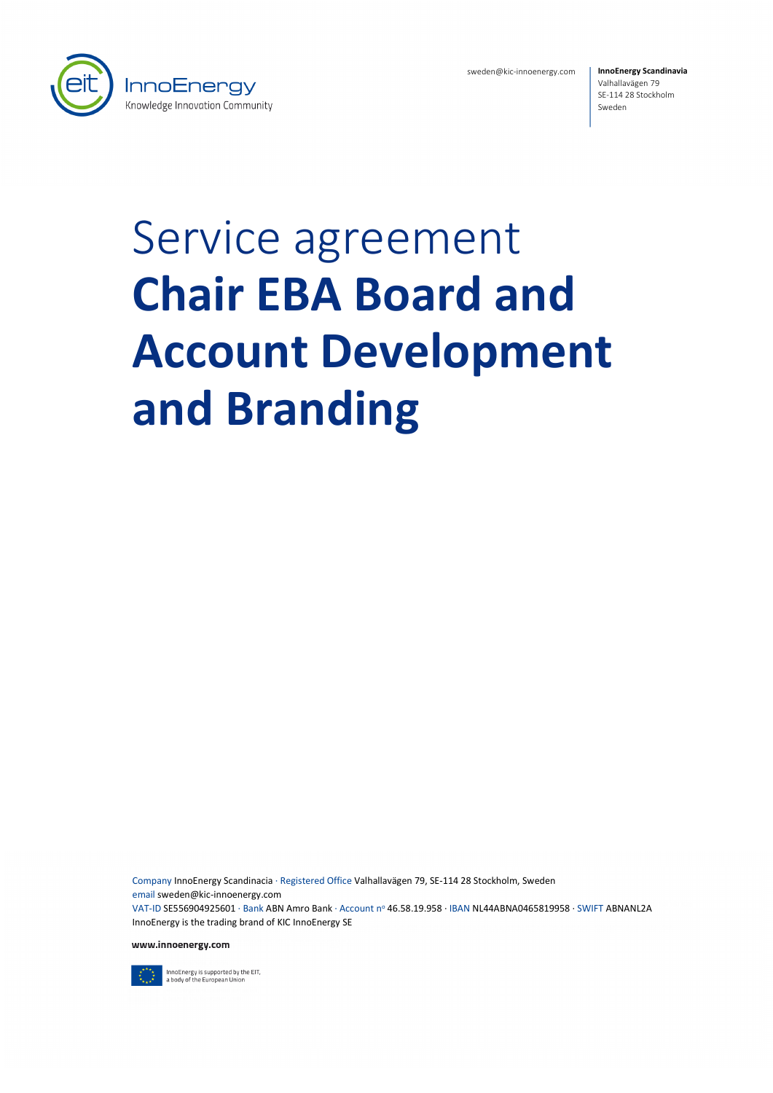

sweden@kic-innoenergy.com

**InnoEnergy Scandinavia** Valhallavägen 79 SE-114 28 Stockholm Sweden

# Service agreement **Chair EBA Board and Account Development and Branding**

Company InnoEnergy Scandinacia · Registered Office Valhallavägen 79, SE-114 28 Stockholm, Sweden email sweden@kic-innoenergy.com VAT-ID SE556904925601 · Bank ABN Amro Bank · Account no 46.58.19.958 · IBAN NL44ABNA0465819958 · SWIFT ABNANL2A InnoEnergy is the trading brand of KIC InnoEnergy SE

www.innoenergy.com



InnoEnergy is supported by the EIT,<br>a body of the European Union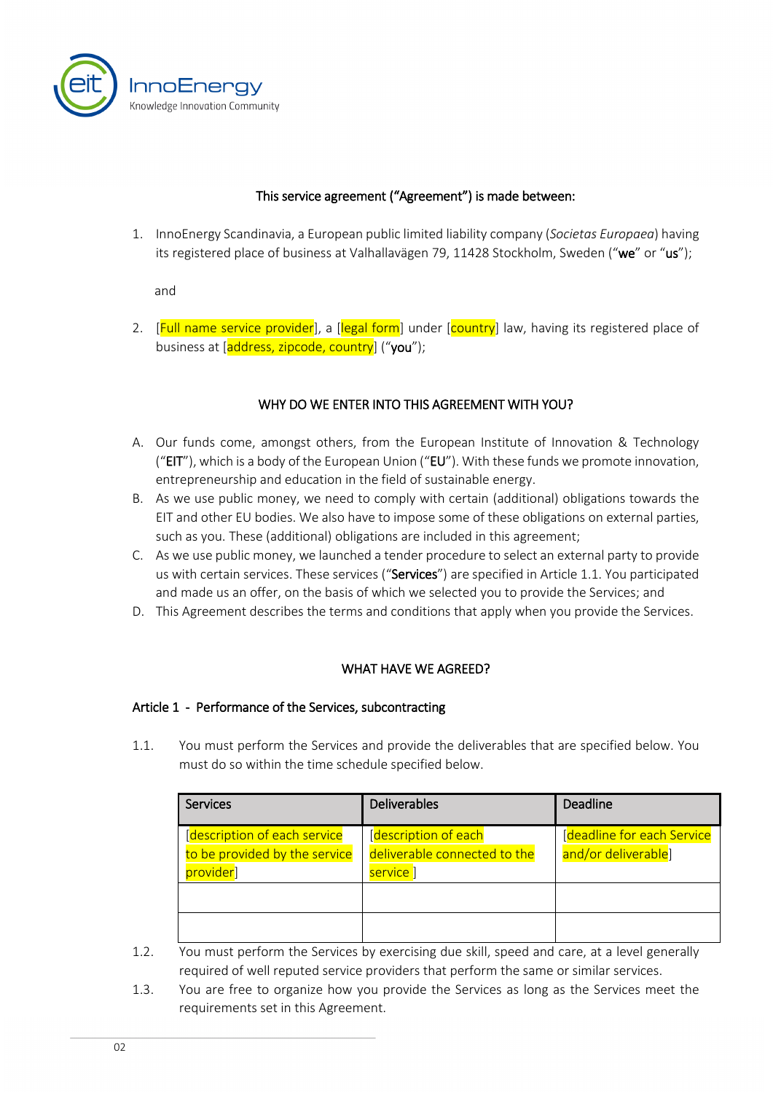

#### This service agreement ("Agreement") is made between:

1. InnoEnergy Scandinavia, a European public limited liability company (*Societas Europaea*) having its registered place of business at Valhallavägen 79, 11428 Stockholm, Sweden ("we" or "us");

and

2. [Full name service provider], a [legal form] under [country] law, having its registered place of business at [address, zipcode, country] ("you");

#### WHY DO WE ENTER INTO THIS AGREEMENT WITH YOU?

- A. Our funds come, amongst others, from the European Institute of Innovation & Technology ("EIT"), which is a body of the European Union ("EU"). With these funds we promote innovation, entrepreneurship and education in the field of sustainable energy.
- B. As we use public money, we need to comply with certain (additional) obligations towards the EIT and other EU bodies. We also have to impose some of these obligations on external parties, such as you. These (additional) obligations are included in this agreement;
- C. As we use public money, we launched a tender procedure to select an external party to provide us with certain services. These services ("Services") are specified in Article [1.1.](#page-1-0) You participated and made us an offer, on the basis of which we selected you to provide the Services; and
- D. This Agreement describes the terms and conditions that apply when you provide the Services.

# WHAT HAVE WE AGREED?

#### Article 1 - Performance of the Services, subcontracting

<span id="page-1-0"></span>1.1. You must perform the Services and provide the deliverables that are specified below. You must do so within the time schedule specified below.

| Services                                                                    | <b>Deliverables</b>                                                          | Deadline                                          |
|-----------------------------------------------------------------------------|------------------------------------------------------------------------------|---------------------------------------------------|
| [description of each service]<br>to be provided by the service<br>provider] | [description of each]<br>deliverable connected to the<br>service <sup></sup> | [deadline for each Service<br>and/or deliverable] |
|                                                                             |                                                                              |                                                   |

1.2. You must perform the Services by exercising due skill, speed and care, at a level generally required of well reputed service providers that perform the same or similar services.

1.3. You are free to organize how you provide the Services as long as the Services meet the requirements set in this Agreement.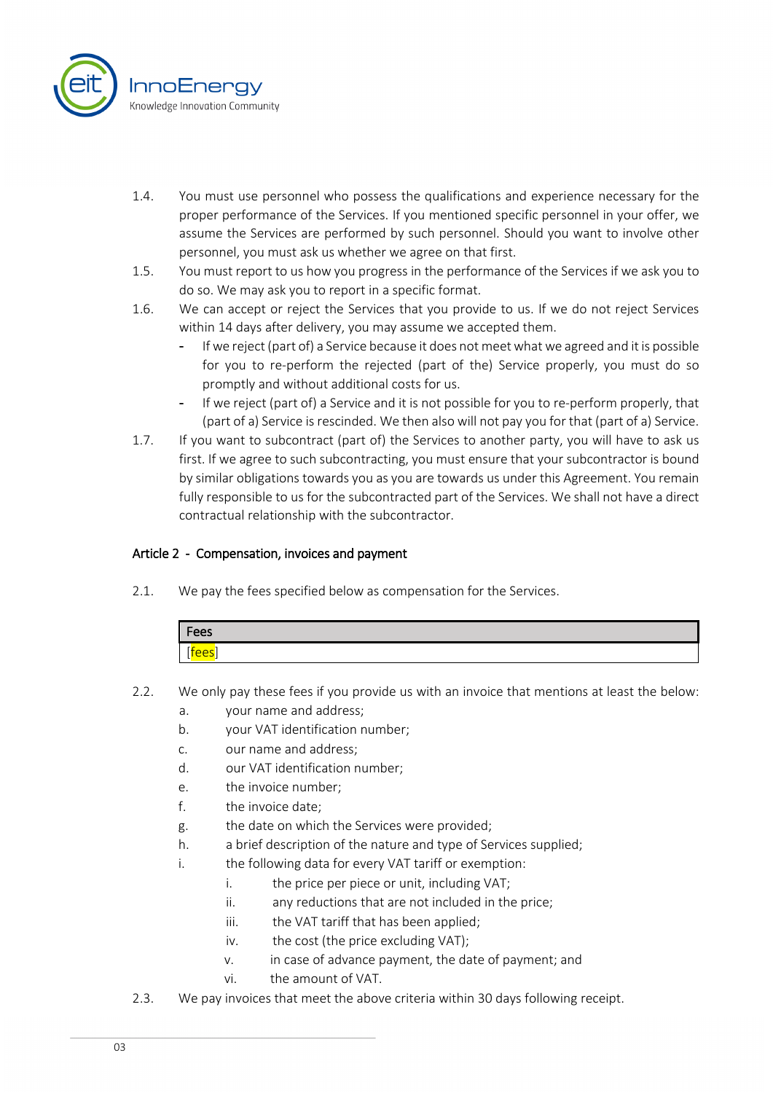

- 1.4. You must use personnel who possess the qualifications and experience necessary for the proper performance of the Services. If you mentioned specific personnel in your offer, we assume the Services are performed by such personnel. Should you want to involve other personnel, you must ask us whether we agree on that first.
- 1.5. You must report to us how you progress in the performance of the Services if we ask you to do so. We may ask you to report in a specific format.
- 1.6. We can accept or reject the Services that you provide to us. If we do not reject Services within 14 days after delivery, you may assume we accepted them.
	- If we reject (part of) a Service because it does not meet what we agreed and it is possible for you to re-perform the rejected (part of the) Service properly, you must do so promptly and without additional costs for us.
	- If we reject (part of) a Service and it is not possible for you to re-perform properly, that (part of a) Service is rescinded. We then also will not pay you for that (part of a) Service.
- 1.7. If you want to subcontract (part of) the Services to another party, you will have to ask us first. If we agree to such subcontracting, you must ensure that your subcontractor is bound by similar obligations towards you as you are towards us under this Agreement. You remain fully responsible to us for the subcontracted part of the Services. We shall not have a direct contractual relationship with the subcontractor.

# Article 2 - Compensation, invoices and payment

2.1. We pay the fees specified below as compensation for the Services.

| Fees        |  |
|-------------|--|
| <u>tees</u> |  |

- 2.2. We only pay these fees if you provide us with an invoice that mentions at least the below:
	- a. your name and address;
	- b. your VAT identification number;
	- c. our name and address;
	- d. our VAT identification number;
	- e. the invoice number;
	- f. the invoice date;
	- g. the date on which the Services were provided;
	- h. a brief description of the nature and type of Services supplied;
	- i. the following data for every VAT tariff or exemption:
		- i. the price per piece or unit, including VAT;
		- ii. any reductions that are not included in the price;
		- iii. the VAT tariff that has been applied;
		- iv. the cost (the price excluding VAT);
		- v. in case of advance payment, the date of payment; and
		- vi. the amount of VAT.
- 2.3. We pay invoices that meet the above criteria within 30 days following receipt.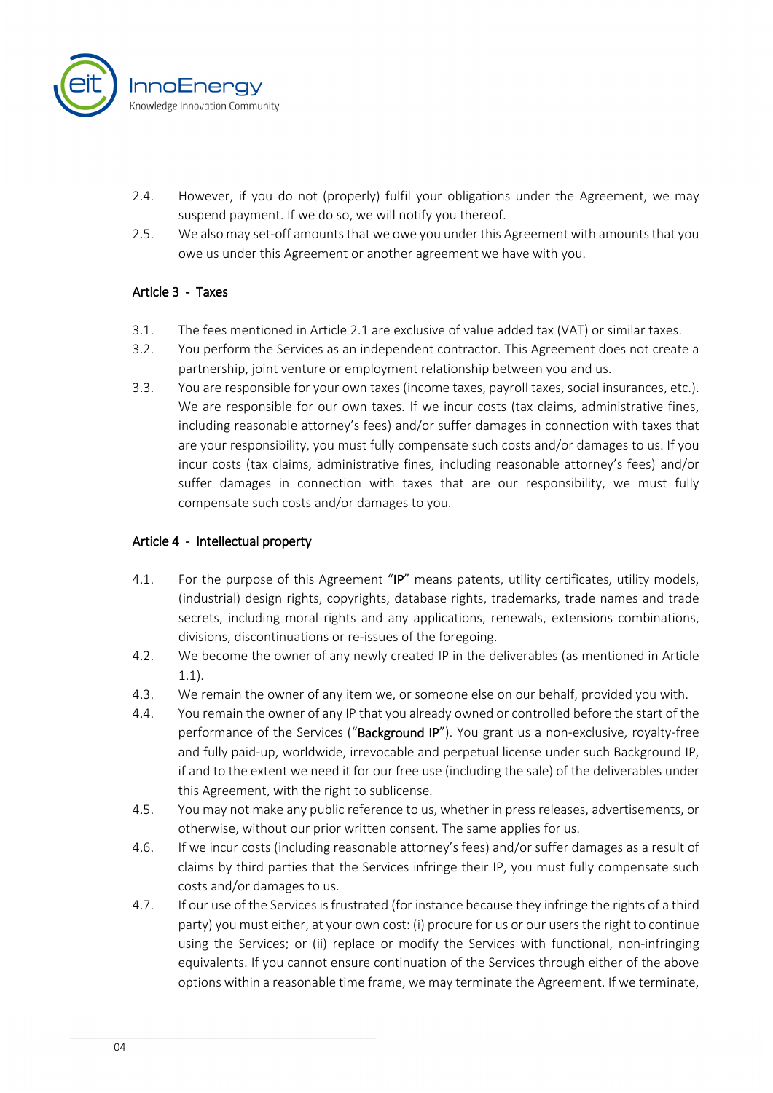

- 2.4. However, if you do not (properly) fulfil your obligations under the Agreement, we may suspend payment. If we do so, we will notify you thereof.
- 2.5. We also may set-off amounts that we owe you under this Agreement with amounts that you owe us under this Agreement or another agreement we have with you.

# Article 3 - Taxes

- 3.1. The fees mentioned in Article 2.1 are exclusive of value added tax (VAT) or similar taxes.
- 3.2. You perform the Services as an independent contractor. This Agreement does not create a partnership, joint venture or employment relationship between you and us.
- 3.3. You are responsible for your own taxes (income taxes, payroll taxes, social insurances, etc.). We are responsible for our own taxes. If we incur costs (tax claims, administrative fines, including reasonable attorney's fees) and/or suffer damages in connection with taxes that are your responsibility, you must fully compensate such costs and/or damages to us. If you incur costs (tax claims, administrative fines, including reasonable attorney's fees) and/or suffer damages in connection with taxes that are our responsibility, we must fully compensate such costs and/or damages to you.

#### Article 4 - Intellectual property

- 4.1. For the purpose of this Agreement "IP" means patents, utility certificates, utility models, (industrial) design rights, copyrights, database rights, trademarks, trade names and trade secrets, including moral rights and any applications, renewals, extensions combinations, divisions, discontinuations or re-issues of the foregoing.
- 4.2. We become the owner of any newly created IP in the deliverables (as mentioned in Article 1.1).
- 4.3. We remain the owner of any item we, or someone else on our behalf, provided you with.
- 4.4. You remain the owner of any IP that you already owned or controlled before the start of the performance of the Services ("Background IP"). You grant us a non-exclusive, royalty-free and fully paid-up, worldwide, irrevocable and perpetual license under such Background IP, if and to the extent we need it for our free use (including the sale) of the deliverables under this Agreement, with the right to sublicense.
- 4.5. You may not make any public reference to us, whether in press releases, advertisements, or otherwise, without our prior written consent. The same applies for us.
- 4.6. If we incur costs (including reasonable attorney's fees) and/or suffer damages as a result of claims by third parties that the Services infringe their IP, you must fully compensate such costs and/or damages to us.
- 4.7. If our use of the Services isfrustrated (for instance because they infringe the rights of a third party) you must either, at your own cost: (i) procure for us or our users the right to continue using the Services; or (ii) replace or modify the Services with functional, non-infringing equivalents. If you cannot ensure continuation of the Services through either of the above options within a reasonable time frame, we may terminate the Agreement. If we terminate,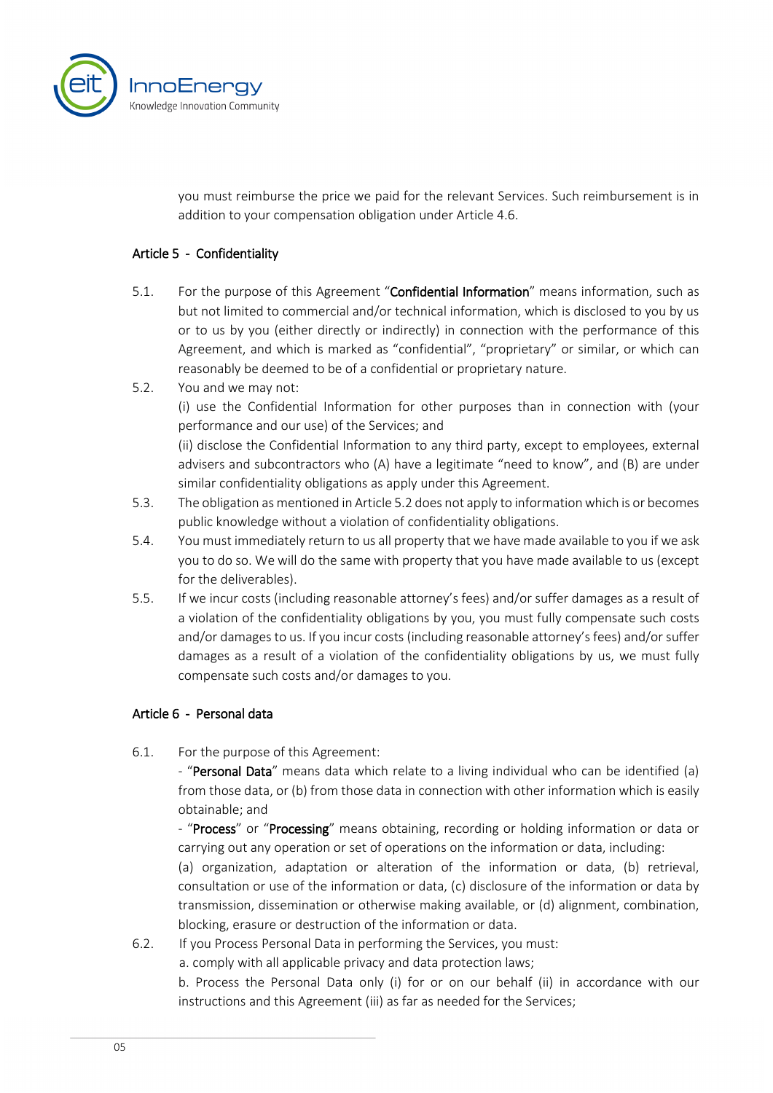

you must reimburse the price we paid for the relevant Services. Such reimbursement is in addition to your compensation obligation under Article 4.6.

#### Article 5 - Confidentiality

- 5.1. For the purpose of this Agreement "Confidential Information" means information, such as but not limited to commercial and/or technical information, which is disclosed to you by us or to us by you (either directly or indirectly) in connection with the performance of this Agreement, and which is marked as "confidential", "proprietary" or similar, or which can reasonably be deemed to be of a confidential or proprietary nature.
- 5.2. You and we may not:

(i) use the Confidential Information for other purposes than in connection with (your performance and our use) of the Services; and

(ii) disclose the Confidential Information to any third party, except to employees, external advisers and subcontractors who (A) have a legitimate "need to know", and (B) are under similar confidentiality obligations as apply under this Agreement.

- 5.3. The obligation as mentioned in Article 5.2 does not apply to information which is or becomes public knowledge without a violation of confidentiality obligations.
- 5.4. You must immediately return to us all property that we have made available to you if we ask you to do so. We will do the same with property that you have made available to us (except for the deliverables).
- 5.5. If we incur costs (including reasonable attorney's fees) and/or suffer damages as a result of a violation of the confidentiality obligations by you, you must fully compensate such costs and/or damages to us. If you incur costs (including reasonable attorney's fees) and/or suffer damages as a result of a violation of the confidentiality obligations by us, we must fully compensate such costs and/or damages to you.

#### Article 6 - Personal data

6.1. For the purpose of this Agreement:

- "Personal Data" means data which relate to a living individual who can be identified (a) from those data, or (b) from those data in connection with other information which is easily obtainable; and

- "Process" or "Processing" means obtaining, recording or holding information or data or carrying out any operation or set of operations on the information or data, including:

(a) organization, adaptation or alteration of the information or data, (b) retrieval, consultation or use of the information or data, (c) disclosure of the information or data by transmission, dissemination or otherwise making available, or (d) alignment, combination, blocking, erasure or destruction of the information or data.

6.2. If you Process Personal Data in performing the Services, you must:

a. comply with all applicable privacy and data protection laws;

b. Process the Personal Data only (i) for or on our behalf (ii) in accordance with our instructions and this Agreement (iii) as far as needed for the Services;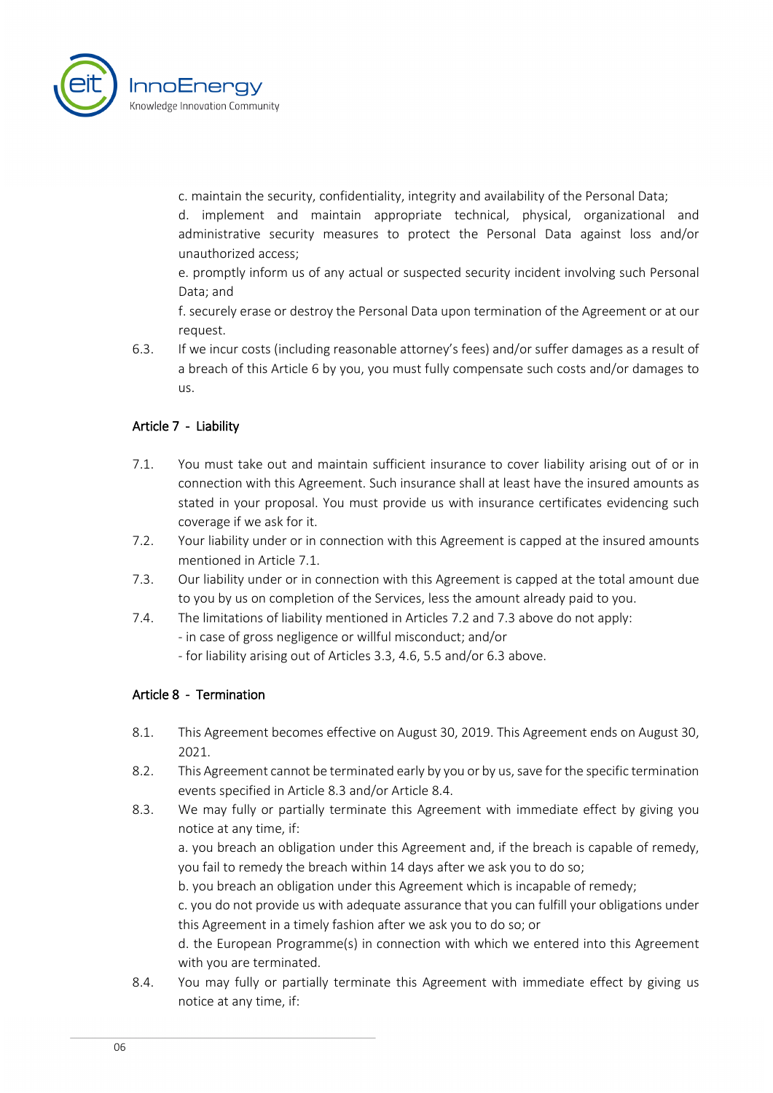

c. maintain the security, confidentiality, integrity and availability of the Personal Data;

d. implement and maintain appropriate technical, physical, organizational and administrative security measures to protect the Personal Data against loss and/or unauthorized access;

e. promptly inform us of any actual or suspected security incident involving such Personal Data; and

f. securely erase or destroy the Personal Data upon termination of the Agreement or at our request.

6.3. If we incur costs (including reasonable attorney's fees) and/or suffer damages as a result of a breach of this Article 6 by you, you must fully compensate such costs and/or damages to us.

# Article 7 - Liability

- 7.1. You must take out and maintain sufficient insurance to cover liability arising out of or in connection with this Agreement. Such insurance shall at least have the insured amounts as stated in your proposal. You must provide us with insurance certificates evidencing such coverage if we ask for it.
- 7.2. Your liability under or in connection with this Agreement is capped at the insured amounts mentioned in Article 7.1.
- 7.3. Our liability under or in connection with this Agreement is capped at the total amount due to you by us on completion of the Services, less the amount already paid to you.
- 7.4. The limitations of liability mentioned in Articles 7.2 and 7.3 above do not apply:
	- in case of gross negligence or willful misconduct; and/or
	- for liability arising out of Articles 3.3, 4.6, 5.5 and/or 6.3 above.

# Article 8 - Termination

- 8.1. This Agreement becomes effective on August 30, 2019. This Agreement ends on August 30, 2021.
- 8.2. This Agreement cannot be terminated early by you or by us, save for the specific termination events specified in Article 8.3 and/or Article 8.4.
- 8.3. We may fully or partially terminate this Agreement with immediate effect by giving you notice at any time, if:

a. you breach an obligation under this Agreement and, if the breach is capable of remedy, you fail to remedy the breach within 14 days after we ask you to do so;

b. you breach an obligation under this Agreement which is incapable of remedy;

c. you do not provide us with adequate assurance that you can fulfill your obligations under this Agreement in a timely fashion after we ask you to do so; or

d. the European Programme(s) in connection with which we entered into this Agreement with you are terminated.

8.4. You may fully or partially terminate this Agreement with immediate effect by giving us notice at any time, if: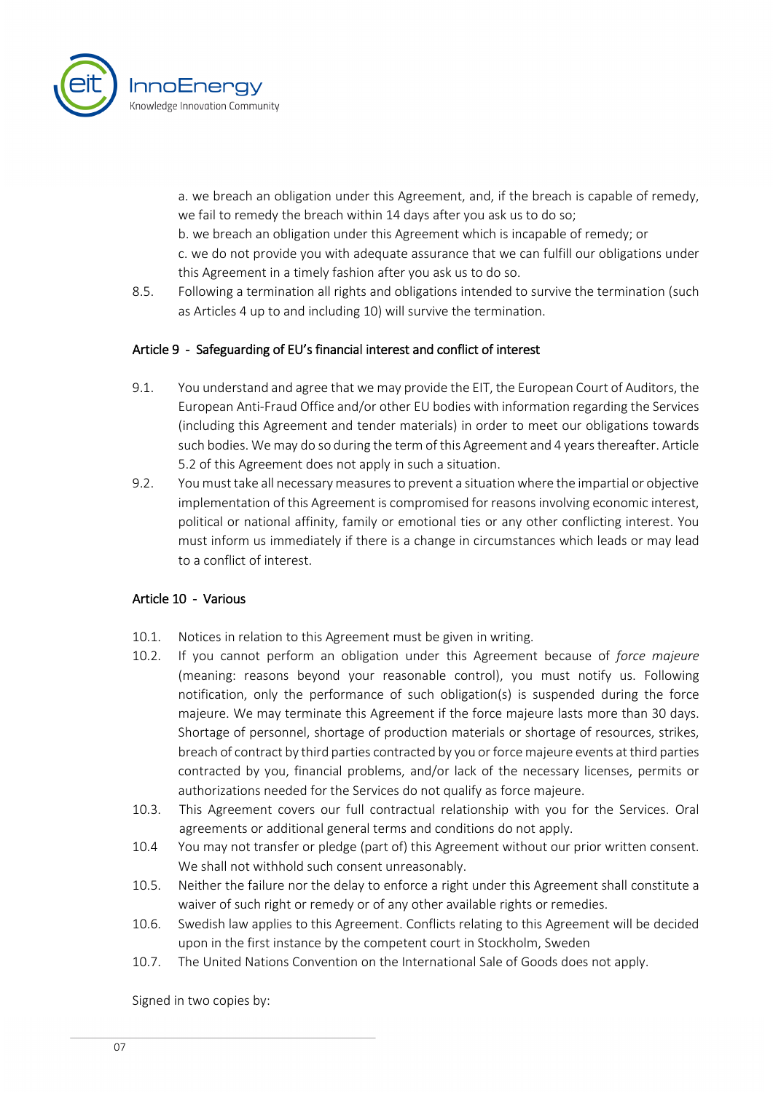

a. we breach an obligation under this Agreement, and, if the breach is capable of remedy, we fail to remedy the breach within 14 days after you ask us to do so;

b. we breach an obligation under this Agreement which is incapable of remedy; or

c. we do not provide you with adequate assurance that we can fulfill our obligations under this Agreement in a timely fashion after you ask us to do so.

8.5. Following a termination all rights and obligations intended to survive the termination (such as Articles 4 up to and including 10) will survive the termination.

# Article 9 - Safeguarding of EU's financial interest and conflict of interest

- 9.1. You understand and agree that we may provide the EIT, the European Court of Auditors, the European Anti-Fraud Office and/or other EU bodies with information regarding the Services (including this Agreement and tender materials) in order to meet our obligations towards such bodies. We may do so during the term of this Agreement and 4 years thereafter. Article 5.2 of this Agreement does not apply in such a situation.
- 9.2. You must take all necessary measures to prevent a situation where the impartial or objective implementation of this Agreement is compromised for reasons involving economic interest, political or national affinity, family or emotional ties or any other conflicting interest. You must inform us immediately if there is a change in circumstances which leads or may lead to a conflict of interest.

#### Article 10 - Various

- 10.1. Notices in relation to this Agreement must be given in writing.
- 10.2. If you cannot perform an obligation under this Agreement because of *force majeure* (meaning: reasons beyond your reasonable control), you must notify us. Following notification, only the performance of such obligation(s) is suspended during the force majeure. We may terminate this Agreement if the force majeure lasts more than 30 days. Shortage of personnel, shortage of production materials or shortage of resources, strikes, breach of contract by third parties contracted by you or force majeure events at third parties contracted by you, financial problems, and/or lack of the necessary licenses, permits or authorizations needed for the Services do not qualify as force majeure.
- 10.3. This Agreement covers our full contractual relationship with you for the Services. Oral agreements or additional general terms and conditions do not apply.
- 10.4 You may not transfer or pledge (part of) this Agreement without our prior written consent. We shall not withhold such consent unreasonably.
- 10.5. Neither the failure nor the delay to enforce a right under this Agreement shall constitute a waiver of such right or remedy or of any other available rights or remedies.
- 10.6. Swedish law applies to this Agreement. Conflicts relating to this Agreement will be decided upon in the first instance by the competent court in Stockholm, Sweden
- 10.7. The United Nations Convention on the International Sale of Goods does not apply.

Signed in two copies by: